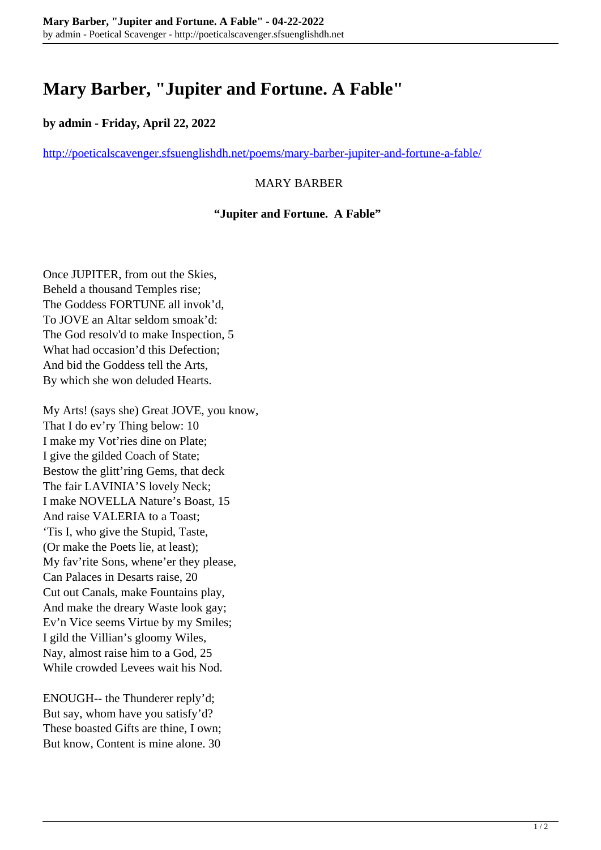# **Mary Barber, "Jupiter and Fortune. A Fable"**

## **by admin - Friday, April 22, 2022**

<http://poeticalscavenger.sfsuenglishdh.net/poems/mary-barber-jupiter-and-fortune-a-fable/>

### MARY BARBER

#### **"Jupiter and Fortune. A Fable"**

Once JUPITER, from out the Skies, Beheld a thousand Temples rise; The Goddess FORTUNE all invok'd, To JOVE an Altar seldom smoak'd: The God resolv'd to make Inspection, 5 What had occasion'd this Defection; And bid the Goddess tell the Arts, By which she won deluded Hearts.

My Arts! (says she) Great JOVE, you know, That I do ev'ry Thing below: 10 I make my Vot'ries dine on Plate; I give the gilded Coach of State; Bestow the glitt'ring Gems, that deck The fair LAVINIA'S lovely Neck; I make NOVELLA Nature's Boast, 15 And raise VALERIA to a Toast; 'Tis I, who give the Stupid, Taste, (Or make the Poets lie, at least); My fav'rite Sons, whene'er they please, Can Palaces in Desarts raise, 20 Cut out Canals, make Fountains play, And make the dreary Waste look gay; Ev'n Vice seems Virtue by my Smiles; I gild the Villian's gloomy Wiles, Nay, almost raise him to a God, 25 While crowded Levees wait his Nod.

ENOUGH-- the Thunderer reply'd; But say, whom have you satisfy'd? These boasted Gifts are thine, I own; But know, Content is mine alone. 30